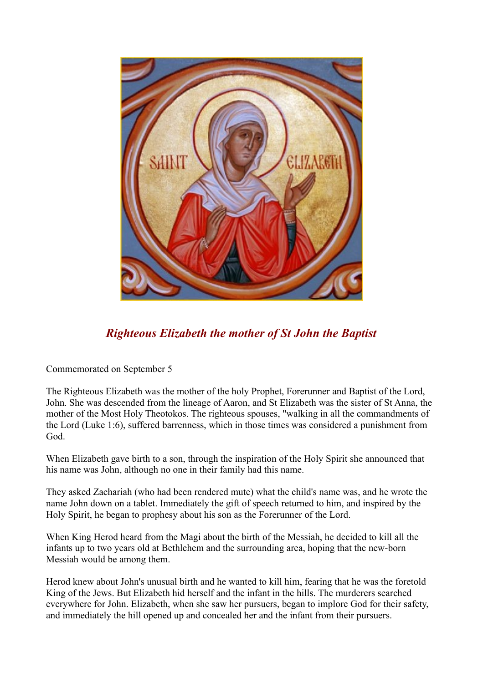

## *Righteous Elizabeth the mother of St John the Baptist*

Commemorated on September 5

The Righteous Elizabeth was the mother of the holy Prophet, Forerunner and Baptist of the Lord, John. She was descended from the lineage of Aaron, and St Elizabeth was the sister of St Anna, the mother of the Most Holy Theotokos. The righteous spouses, "walking in all the commandments of the Lord (Luke 1:6), suffered barrenness, which in those times was considered a punishment from God.

When Elizabeth gave birth to a son, through the inspiration of the Holy Spirit she announced that his name was John, although no one in their family had this name.

They asked Zachariah (who had been rendered mute) what the child's name was, and he wrote the name John down on a tablet. Immediately the gift of speech returned to him, and inspired by the Holy Spirit, he began to prophesy about his son as the Forerunner of the Lord.

When King Herod heard from the Magi about the birth of the Messiah, he decided to kill all the infants up to two years old at Bethlehem and the surrounding area, hoping that the new-born Messiah would be among them.

Herod knew about John's unusual birth and he wanted to kill him, fearing that he was the foretold King of the Jews. But Elizabeth hid herself and the infant in the hills. The murderers searched everywhere for John. Elizabeth, when she saw her pursuers, began to implore God for their safety, and immediately the hill opened up and concealed her and the infant from their pursuers.